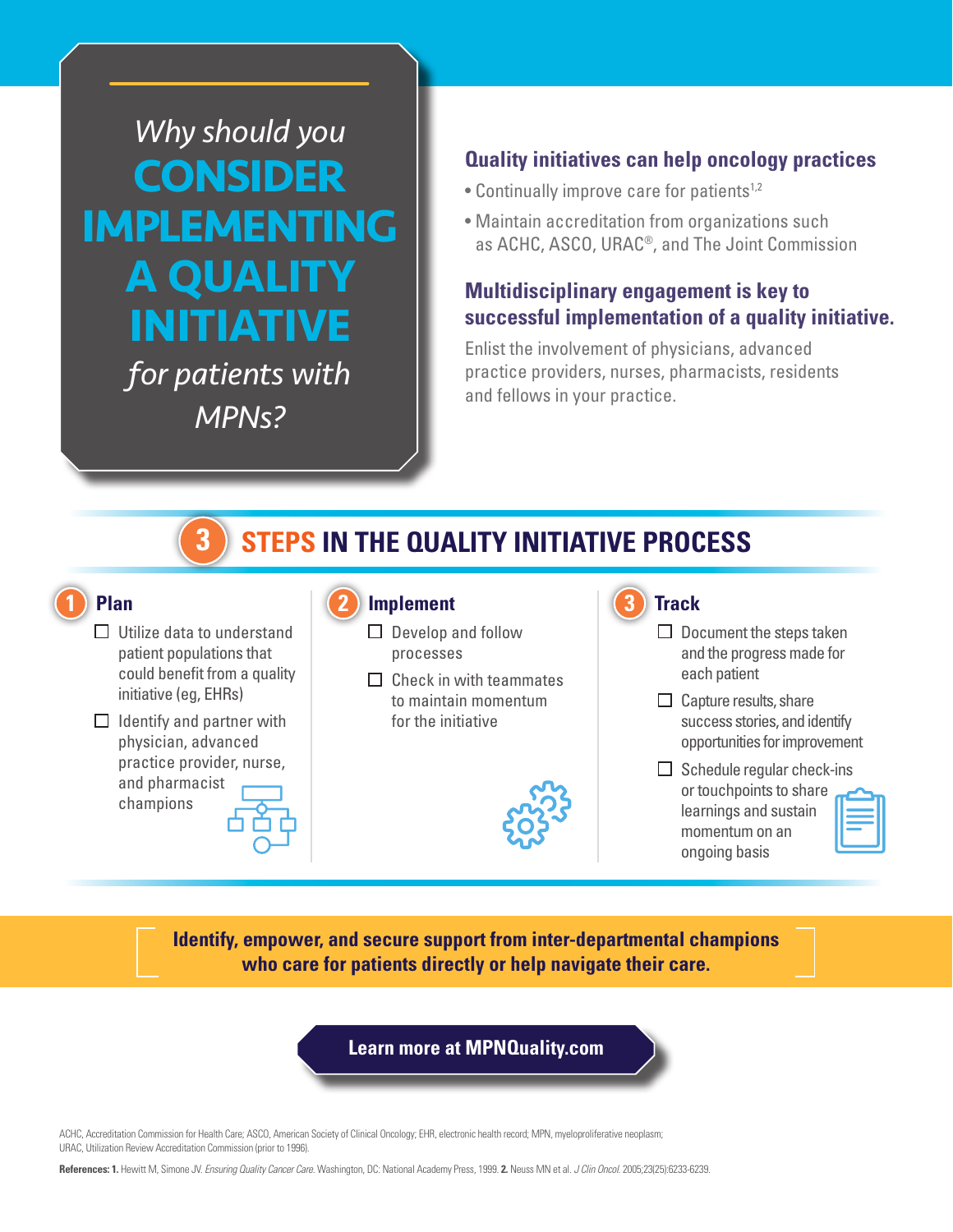*Why should you*  **CONSIDER IMPLEMENTING A QUALITY INITIATIVE** 

> *for patients with MPNs?*

# **Quality initiatives can help oncology practices**

- Continually improve care for patients<sup>1,2</sup>
- Maintain accreditation from organizations such as ACHC, ASCO, URAC®, and The Joint Commission

# **Multidisciplinary engagement is key to successful implementation of a quality initiative.**

Enlist the involvement of physicians, advanced practice providers, nurses, pharmacists, residents and fellows in your practice.

#### **STEPS IN THE QUALITY INITIATIVE PROCESS 3**

# **Plan**

- □ Utilize data to understand patient populations that could benefit from a quality initiative (eg, EHRs)
- $\Box$  Identify and partner with physician, advanced practice provider, nurse, and pharmacist champions



- $\Box$  Develop and follow processes
- $\Box$  Check in with teammates to maintain momentum for the initiative



# **Track**

- $\Box$  Document the steps taken and the progress made for each patient
- $\Box$  Capture results, share success stories, and identify opportunities for improvement
- $\Box$  Schedule regular check-ins or touchpoints to share learnings and sustain momentum on an ongoing basis



**Identify, empower, and secure support from inter-departmental champions who care for patients directly or help navigate their care.**

**Learn more at MPNQuality.com**

ACHC, Accreditation Commission for Health Care; ASCO, American Society of Clinical Oncology; EHR, electronic health record; MPN, myeloproliferative neoplasm; URAC, Utilization Review Accreditation Commission (prior to 1996).

**References: 1.** Hewitt M, Simone JV. *Ensuring Quality Cancer Care*. Washington, DC: National Academy Press, 1999. **2.** Neuss MN et al. *J Clin Oncol*. 2005;23(25):6233-6239.